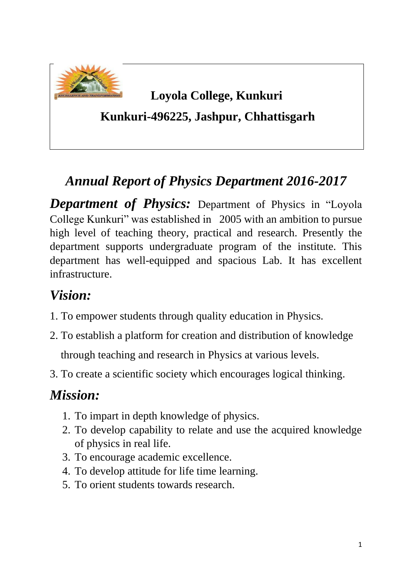

## **Loyola College, Kunkuri**

#### **Kunkuri-496225, Jashpur, Chhattisgarh**

# *Annual Report of Physics Department 2016-2017*

*Department of Physics:* Department of Physics in "Loyola College Kunkuri" was established in 2005 with an ambition to pursue high level of teaching theory, practical and research. Presently the department supports undergraduate program of the institute. This department has well-equipped and spacious Lab. It has excellent infrastructure.

# *Vision:*

- 1. To empower students through quality education in Physics.
- 2. To establish a platform for creation and distribution of knowledge through teaching and research in Physics at various levels.
- 3. To create a scientific society which encourages logical thinking.

# *Mission:*

- 1. To impart in depth knowledge of physics.
- 2. To develop capability to relate and use the acquired knowledge of physics in real life.
- 3. To encourage academic excellence.
- 4. To develop attitude for life time learning.
- 5. To orient students towards research.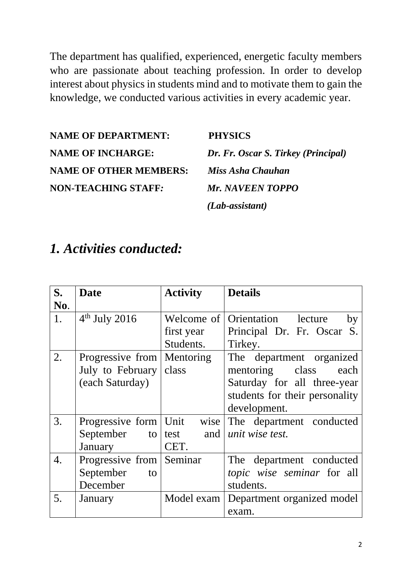The department has qualified, experienced, energetic faculty members who are passionate about teaching profession. In order to develop interest about physics in students mind and to motivate them to gain the knowledge, we conducted various activities in every academic year.

**NAME OF DEPARTMENT: PHYSICS NAME OF INCHARGE:** *Dr. Fr. Oscar S. Tirkey (Principal)* **NAME OF OTHER MEMBERS:** *Miss Asha Chauhan* **NON-TEACHING STAFF***: Mr. NAVEEN TOPPO*

*(Lab-assistant)*

### *1. Activities conducted:*

| S.  | <b>Date</b>              | <b>Activity</b> | <b>Details</b>                 |
|-----|--------------------------|-----------------|--------------------------------|
| No. |                          |                 |                                |
| 1.  | $4th$ July 2016          | Welcome of      | Orientation lecture<br>by      |
|     |                          | first year      | Principal Dr. Fr. Oscar S.     |
|     |                          | Students.       | Tirkey.                        |
| 2.  | Progressive from         | Mentoring       | The department organized       |
|     | July to February         | class           | mentoring class<br>each        |
|     | (each Saturday)          |                 | Saturday for all three-year    |
|     |                          |                 | students for their personality |
|     |                          |                 | development.                   |
| 3.  | Progressive form   Unit  | wise            | The department conducted       |
|     | September<br>to $\vert$  | test and        | unit wise test.                |
|     | January                  | CET.            |                                |
| 4.  | Progressive from Seminar |                 | The department conducted       |
|     | September<br>to          |                 | topic wise seminar for all     |
|     | December                 |                 | students.                      |
| 5.  | January                  | Model exam      | Department organized model     |
|     |                          |                 | exam.                          |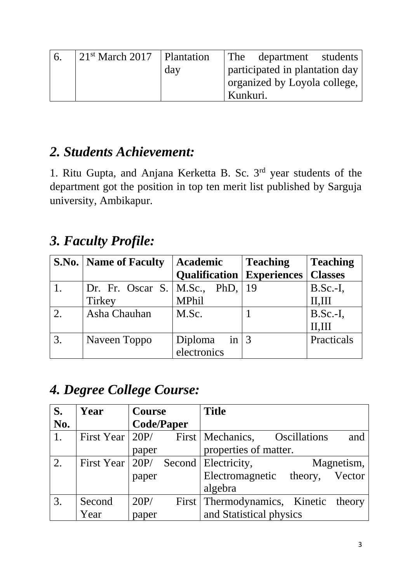| 6. | $\vert 21^{st}$ March 2017 $\vert$ Plantation |     | The department students        |
|----|-----------------------------------------------|-----|--------------------------------|
|    |                                               | day | participated in plantation day |
|    |                                               |     | organized by Loyola college,   |
|    |                                               |     | Kunkuri.                       |

### *2. Students Achievement:*

1. Ritu Gupta, and Anjana Kerketta B. Sc. 3rd year students of the department got the position in top ten merit list published by Sarguja university, Ambikapur.

# *3. Faculty Profile:*

|    | <b>S.No.</b>   <b>Name of Faculty</b> | <b>Academic</b>                    | <b>Teaching</b> |                |
|----|---------------------------------------|------------------------------------|-----------------|----------------|
|    |                                       | <b>Qualification</b>   Experiences |                 | <b>Classes</b> |
|    | Dr. Fr. Oscar S.   M.Sc., PhD,   19   |                                    |                 | $B.Sc.-I,$     |
|    | <b>Tirkey</b>                         | <b>MPhil</b>                       |                 | II, III        |
| 2. | Asha Chauhan                          | M.Sc.                              |                 | $B.Sc.-I,$     |
|    |                                       |                                    |                 | II, III        |
| 3. | Naveen Toppo                          | Diploma in $ 3$                    |                 | Practicals     |
|    |                                       | electronics                        |                 |                |

# *4. Degree College Course:*

| S.                                  | Year                    | <b>Course</b> |                   | <b>Title</b>                         |                     |            |
|-------------------------------------|-------------------------|---------------|-------------------|--------------------------------------|---------------------|------------|
| $\overline{\textbf{N}}\textbf{0}$ . |                         |               | <b>Code/Paper</b> |                                      |                     |            |
| 1.                                  | First Year $\vert$ 20P/ |               |                   | First   Mechanics,                   | <b>Oscillations</b> | and        |
|                                     |                         | paper         |                   | properties of matter.                |                     |            |
| 2.                                  | First Year   20P/       |               |                   | Second   Electricity,                |                     | Magnetism, |
|                                     |                         | paper         |                   | Electromagnetic theory, Vector       |                     |            |
|                                     |                         |               |                   | algebra                              |                     |            |
| 3.                                  | Second                  | 20P/          |                   | First Thermodynamics, Kinetic theory |                     |            |
|                                     | Year                    | paper         |                   | and Statistical physics              |                     |            |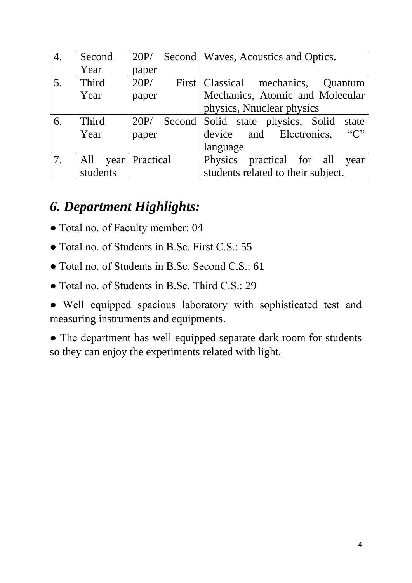| 4. | Second               | 20P/  | Second   Waves, Acoustics and Optics.          |
|----|----------------------|-------|------------------------------------------------|
|    | Year                 | paper |                                                |
| 5. | Third                | 20P/  | First   Classical mechanics,<br><b>Ouantum</b> |
|    | Year                 | paper | Mechanics, Atomic and Molecular                |
|    |                      |       | physics, Nnuclear physics                      |
| 6. | Third                | 20P/  | Second Solid state physics, Solid<br>state     |
|    | Year                 | paper | $\lq\lq C$<br>device and Electronics,          |
|    |                      |       | language                                       |
| 7. | All year   Practical |       | Physics practical for all<br>year              |
|    | students             |       | students related to their subject.             |

## *6. Department Highlights:*

- Total no. of Faculty member: 04
- Total no. of Students in B.Sc. First C.S.: 55
- Total no. of Students in B.Sc. Second C.S.: 61
- Total no. of Students in B.Sc. Third C.S.: 29
- Well equipped spacious laboratory with sophisticated test and measuring instruments and equipments.
- The department has well equipped separate dark room for students so they can enjoy the experiments related with light.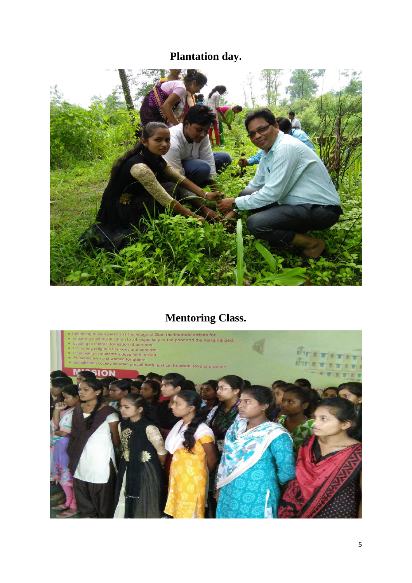#### **Plantation day.**



#### **Mentoring Class.**